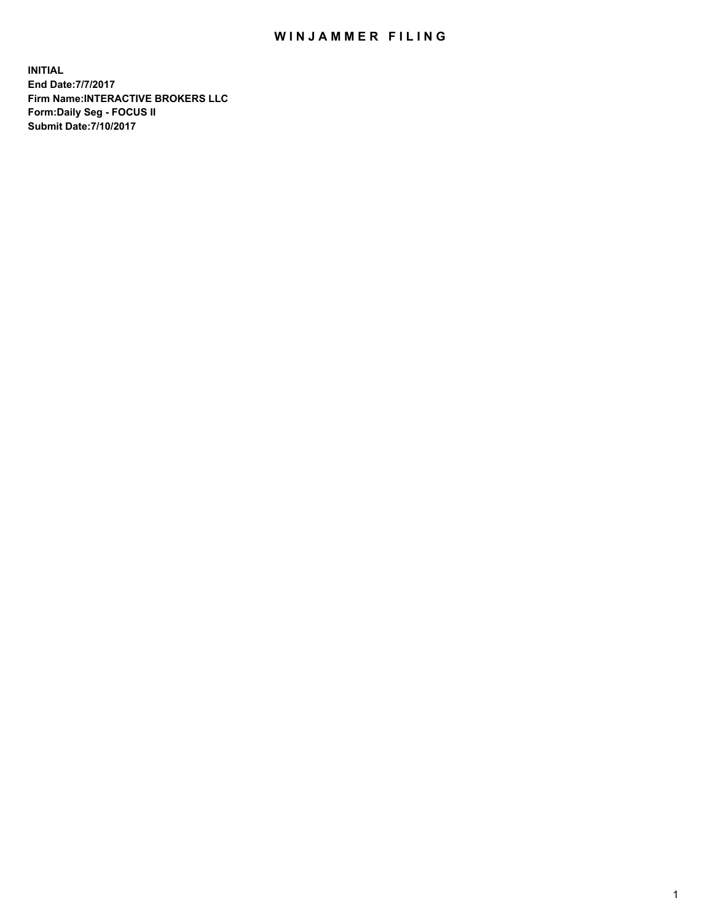## WIN JAMMER FILING

**INITIAL End Date:7/7/2017 Firm Name:INTERACTIVE BROKERS LLC Form:Daily Seg - FOCUS II Submit Date:7/10/2017**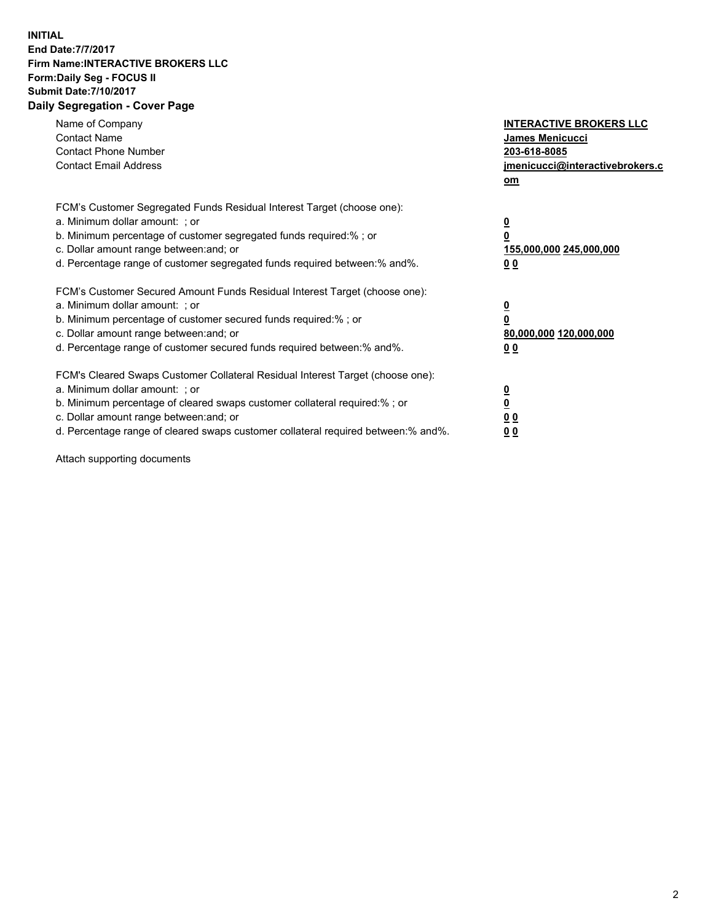## **INITIAL End Date:7/7/2017 Firm Name:INTERACTIVE BROKERS LLC Form:Daily Seg - FOCUS II Submit Date:7/10/2017 Daily Segregation - Cover Page**

| Name of Company<br><b>Contact Name</b><br><b>Contact Phone Number</b><br><b>Contact Email Address</b>                                                                                                                                                                                                                          | <b>INTERACTIVE BROKERS LLC</b><br><b>James Menicucci</b><br>203-618-8085<br>jmenicucci@interactivebrokers.c<br>om |
|--------------------------------------------------------------------------------------------------------------------------------------------------------------------------------------------------------------------------------------------------------------------------------------------------------------------------------|-------------------------------------------------------------------------------------------------------------------|
| FCM's Customer Segregated Funds Residual Interest Target (choose one):<br>a. Minimum dollar amount: ; or<br>b. Minimum percentage of customer segregated funds required:% ; or<br>c. Dollar amount range between: and; or<br>d. Percentage range of customer segregated funds required between: % and %.                       | $\overline{\mathbf{0}}$<br>0<br>155,000,000 245,000,000<br>00                                                     |
| FCM's Customer Secured Amount Funds Residual Interest Target (choose one):<br>a. Minimum dollar amount: ; or<br>b. Minimum percentage of customer secured funds required:%; or<br>c. Dollar amount range between: and; or<br>d. Percentage range of customer secured funds required between: % and %.                          | $\overline{\mathbf{0}}$<br>0<br>80,000,000 120,000,000<br>00                                                      |
| FCM's Cleared Swaps Customer Collateral Residual Interest Target (choose one):<br>a. Minimum dollar amount: ; or<br>b. Minimum percentage of cleared swaps customer collateral required:% ; or<br>c. Dollar amount range between: and; or<br>d. Percentage range of cleared swaps customer collateral required between:% and%. | $\overline{\mathbf{0}}$<br>$\overline{\mathbf{0}}$<br>00<br>0 <sub>0</sub>                                        |

Attach supporting documents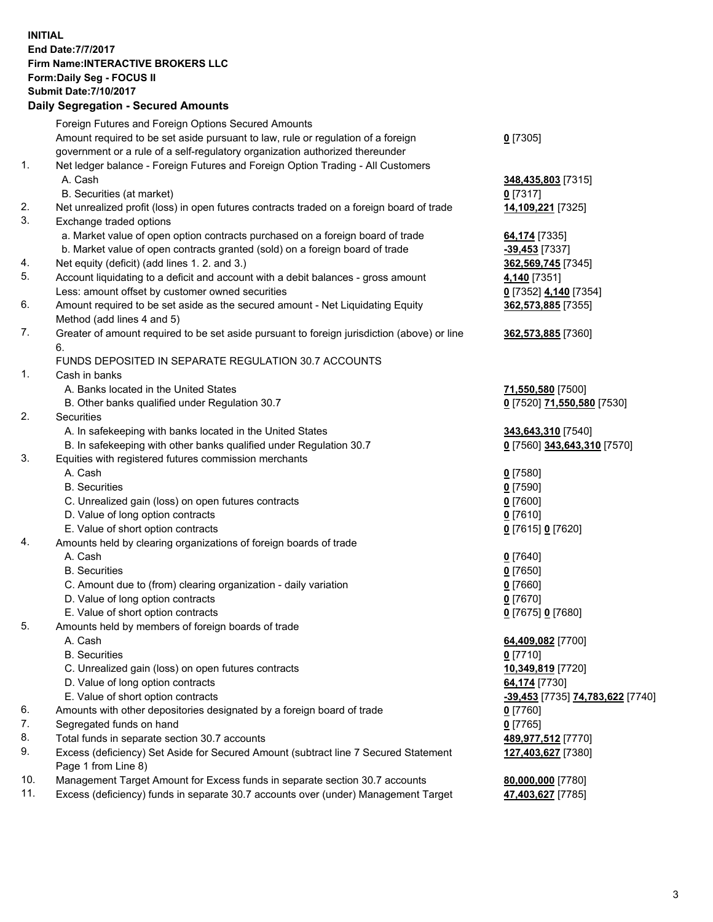## **INITIAL End Date:7/7/2017 Firm Name:INTERACTIVE BROKERS LLC Form:Daily Seg - FOCUS II Submit Date:7/10/2017 Daily Segregation - Secured Amounts**

|          | Daily Jegregation - Jeculed Aniounts                                                                       |                                  |
|----------|------------------------------------------------------------------------------------------------------------|----------------------------------|
|          | Foreign Futures and Foreign Options Secured Amounts                                                        |                                  |
|          | Amount required to be set aside pursuant to law, rule or regulation of a foreign                           | $0$ [7305]                       |
|          | government or a rule of a self-regulatory organization authorized thereunder                               |                                  |
| 1.       | Net ledger balance - Foreign Futures and Foreign Option Trading - All Customers                            |                                  |
|          | A. Cash                                                                                                    | 348,435,803 [7315]               |
|          | B. Securities (at market)                                                                                  | 0 [7317]                         |
| 2.       | Net unrealized profit (loss) in open futures contracts traded on a foreign board of trade                  | 14,109,221 [7325]                |
| 3.       | Exchange traded options                                                                                    |                                  |
|          | a. Market value of open option contracts purchased on a foreign board of trade                             | 64,174 [7335]                    |
|          | b. Market value of open contracts granted (sold) on a foreign board of trade                               | $-39,453$ [7337]                 |
| 4.       | Net equity (deficit) (add lines 1.2. and 3.)                                                               | 362,569,745 [7345]               |
| 5.       | Account liquidating to a deficit and account with a debit balances - gross amount                          | 4,140 [7351]                     |
|          | Less: amount offset by customer owned securities                                                           | 0 [7352] 4,140 [7354]            |
| 6.       | Amount required to be set aside as the secured amount - Net Liquidating Equity                             | 362,573,885 [7355]               |
|          | Method (add lines 4 and 5)                                                                                 |                                  |
| 7.       | Greater of amount required to be set aside pursuant to foreign jurisdiction (above) or line                | 362,573,885 [7360]               |
|          | 6.                                                                                                         |                                  |
|          | FUNDS DEPOSITED IN SEPARATE REGULATION 30.7 ACCOUNTS                                                       |                                  |
| 1.       | Cash in banks                                                                                              |                                  |
|          | A. Banks located in the United States                                                                      | 71,550,580 [7500]                |
|          | B. Other banks qualified under Regulation 30.7                                                             | 0 [7520] 71,550,580 [7530]       |
| 2.       | Securities                                                                                                 |                                  |
|          | A. In safekeeping with banks located in the United States                                                  | 343,643,310 [7540]               |
|          | B. In safekeeping with other banks qualified under Regulation 30.7                                         | 0 [7560] 343,643,310 [7570]      |
| 3.       | Equities with registered futures commission merchants                                                      |                                  |
|          | A. Cash                                                                                                    | $0$ [7580]                       |
|          | <b>B.</b> Securities                                                                                       | $0$ [7590]                       |
|          | C. Unrealized gain (loss) on open futures contracts                                                        | $0$ [7600]                       |
|          | D. Value of long option contracts                                                                          | $0$ [7610]                       |
|          | E. Value of short option contracts                                                                         | 0 [7615] 0 [7620]                |
| 4.       | Amounts held by clearing organizations of foreign boards of trade                                          |                                  |
|          | A. Cash                                                                                                    | $0$ [7640]                       |
|          | <b>B.</b> Securities                                                                                       | $0$ [7650]                       |
|          | C. Amount due to (from) clearing organization - daily variation                                            | $0$ [7660]                       |
|          | D. Value of long option contracts                                                                          | $0$ [7670]                       |
|          | E. Value of short option contracts                                                                         | 0 [7675] 0 [7680]                |
| 5.       | Amounts held by members of foreign boards of trade                                                         |                                  |
|          | A. Cash                                                                                                    | 64,409,082 [7700]                |
|          | <b>B.</b> Securities                                                                                       | $0$ [7710]                       |
|          | C. Unrealized gain (loss) on open futures contracts                                                        | 10,349,819 [7720]                |
|          | D. Value of long option contracts                                                                          | 64,174 [7730]                    |
|          | E. Value of short option contracts                                                                         | -39,453 [7735] 74,783,622 [7740] |
| 6.       | Amounts with other depositories designated by a foreign board of trade                                     | 0 [7760]                         |
| 7.<br>8. | Segregated funds on hand                                                                                   | $0$ [7765]                       |
|          | Total funds in separate section 30.7 accounts                                                              | 489,977,512 [7770]               |
| 9.       | Excess (deficiency) Set Aside for Secured Amount (subtract line 7 Secured Statement<br>Page 1 from Line 8) | 127,403,627 [7380]               |
| 10.      | Management Target Amount for Excess funds in separate section 30.7 accounts                                | 80,000,000 [7780]                |
| 11.      | Excess (deficiency) funds in separate 30.7 accounts over (under) Management Target                         | 47,403,627 [7785]                |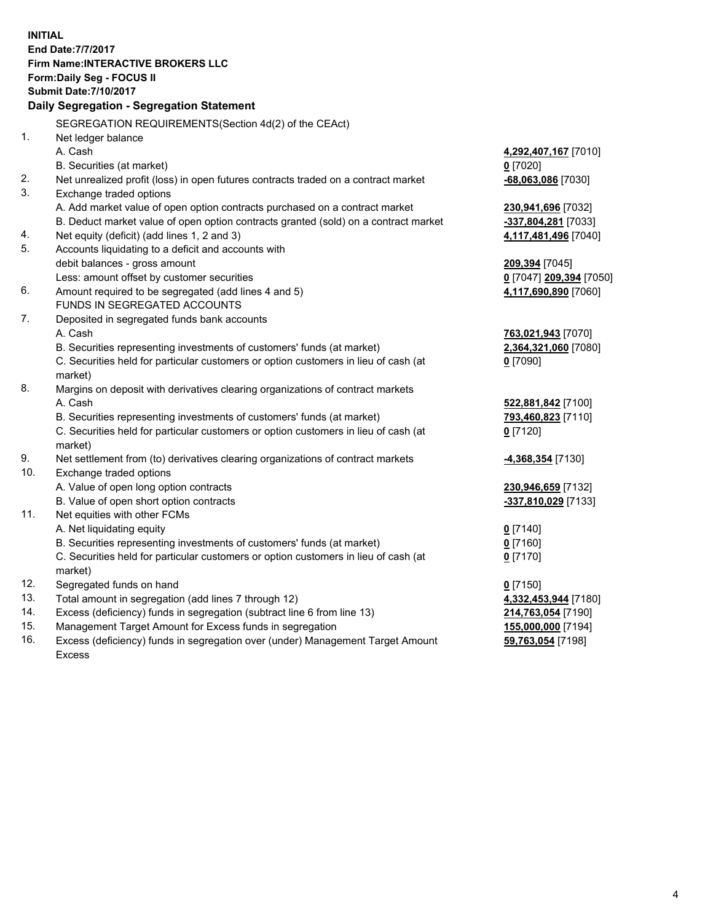**INITIAL End Date:7/7/2017 Firm Name:INTERACTIVE BROKERS LLC Form:Daily Seg - FOCUS II Submit Date:7/10/2017 Daily Segregation - Segregation Statement** SEGREGATION REQUIREMENTS(Section 4d(2) of the CEAct) 1. Net ledger balance A. Cash **4,292,407,167** [7010] B. Securities (at market) **0** [7020] 2. Net unrealized profit (loss) in open futures contracts traded on a contract market **-68,063,086** [7030] 3. Exchange traded options A. Add market value of open option contracts purchased on a contract market **230,941,696** [7032] B. Deduct market value of open option contracts granted (sold) on a contract market **-337,804,281** [7033] 4. Net equity (deficit) (add lines 1, 2 and 3) **4,117,481,496** [7040] 5. Accounts liquidating to a deficit and accounts with debit balances - gross amount **209,394** [7045] Less: amount offset by customer securities **0** [7047] **209,394** [7050] 6. Amount required to be segregated (add lines 4 and 5) **4,117,690,890** [7060] FUNDS IN SEGREGATED ACCOUNTS 7. Deposited in segregated funds bank accounts A. Cash **763,021,943** [7070] B. Securities representing investments of customers' funds (at market) **2,364,321,060** [7080] C. Securities held for particular customers or option customers in lieu of cash (at market) **0** [7090] 8. Margins on deposit with derivatives clearing organizations of contract markets A. Cash **522,881,842** [7100] B. Securities representing investments of customers' funds (at market) **793,460,823** [7110] C. Securities held for particular customers or option customers in lieu of cash (at market) **0** [7120] 9. Net settlement from (to) derivatives clearing organizations of contract markets **-4,368,354** [7130] 10. Exchange traded options A. Value of open long option contracts **230,946,659** [7132] B. Value of open short option contracts **-337,810,029** [7133] 11. Net equities with other FCMs A. Net liquidating equity **0** [7140] B. Securities representing investments of customers' funds (at market) **0** [7160] C. Securities held for particular customers or option customers in lieu of cash (at market) **0** [7170] 12. Segregated funds on hand **0** [7150] 13. Total amount in segregation (add lines 7 through 12) **4,332,453,944** [7180] 14. Excess (deficiency) funds in segregation (subtract line 6 from line 13) **214,763,054** [7190] 15. Management Target Amount for Excess funds in segregation **155,000,000** [7194]

16. Excess (deficiency) funds in segregation over (under) Management Target Amount Excess

**59,763,054** [7198]